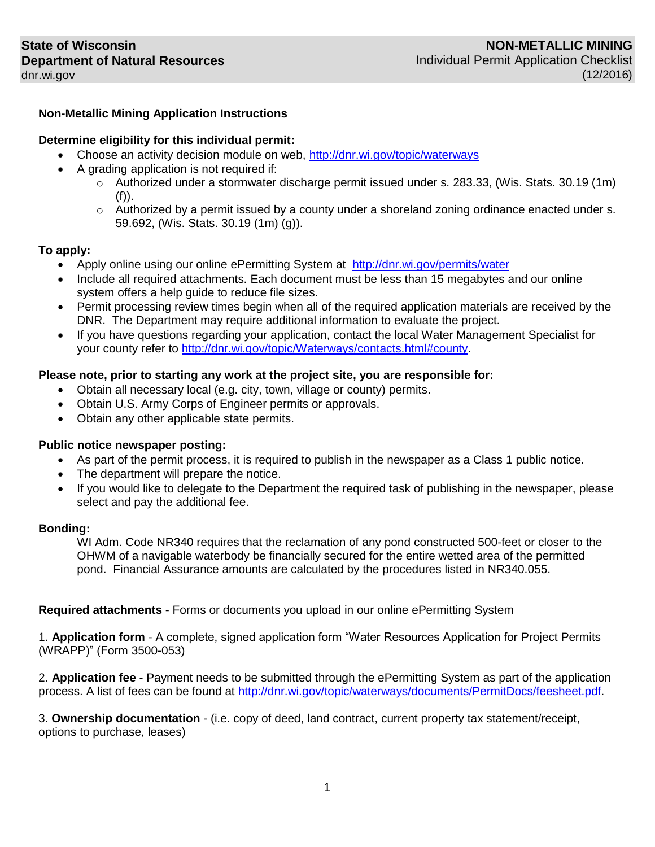# **Non-Metallic Mining Application Instructions**

## **Determine eligibility for this individual permit:**

- Choose an activity decision module on web,<http://dnr.wi.gov/topic/waterways>
- A grading application is not required if:
	- o Authorized under a stormwater discharge permit issued under s. 283.33, (Wis. Stats. 30.19 (1m) (f)).
	- $\circ$  Authorized by a permit issued by a county under a shoreland zoning ordinance enacted under s. 59.692, (Wis. Stats. 30.19 (1m) (g)).

### **To apply:**

- Apply online using our online ePermitting System at <http://dnr.wi.gov/permits/water>
- Include all required attachments. Each document must be less than 15 megabytes and our online system offers a help guide to reduce file sizes.
- Permit processing review times begin when all of the required application materials are received by the DNR. The Department may require additional information to evaluate the project.
- If you have questions regarding your application, contact the local Water Management Specialist for your county refer to [http://dnr.wi.gov/topic/Waterways/contacts.html#county.](http://dnr.wi.gov/topic/Waterways/contacts.html#county)

# **Please note, prior to starting any work at the project site, you are responsible for:**

- Obtain all necessary local (e.g. city, town, village or county) permits.
- Obtain U.S. Army Corps of Engineer permits or approvals.
- Obtain any other applicable state permits.

### **Public notice newspaper posting:**

- As part of the permit process, it is required to publish in the newspaper as a Class 1 public notice.
- The department will prepare the notice.
- If you would like to delegate to the Department the required task of publishing in the newspaper, please select and pay the additional fee.

### **Bonding:**

WI Adm. Code NR340 requires that the reclamation of any pond constructed 500-feet or closer to the OHWM of a navigable waterbody be financially secured for the entire wetted area of the permitted pond. Financial Assurance amounts are calculated by the procedures listed in NR340.055.

**Required attachments** - Forms or documents you upload in our online ePermitting System

1. **Application form** - A complete, signed application form "Water Resources Application for Project Permits (WRAPP)" (Form 3500-053)

2. **Application fee** - Payment needs to be submitted through the ePermitting System as part of the application process. A list of fees can be found at [http://dnr.wi.gov/topic/waterways/documents/PermitDocs/feesheet.pdf.](http://dnr.wi.gov/topic/waterways/documents/PermitDocs/feesheet.pdf)

3. **Ownership documentation** - (i.e. copy of deed, land contract, current property tax statement/receipt, options to purchase, leases)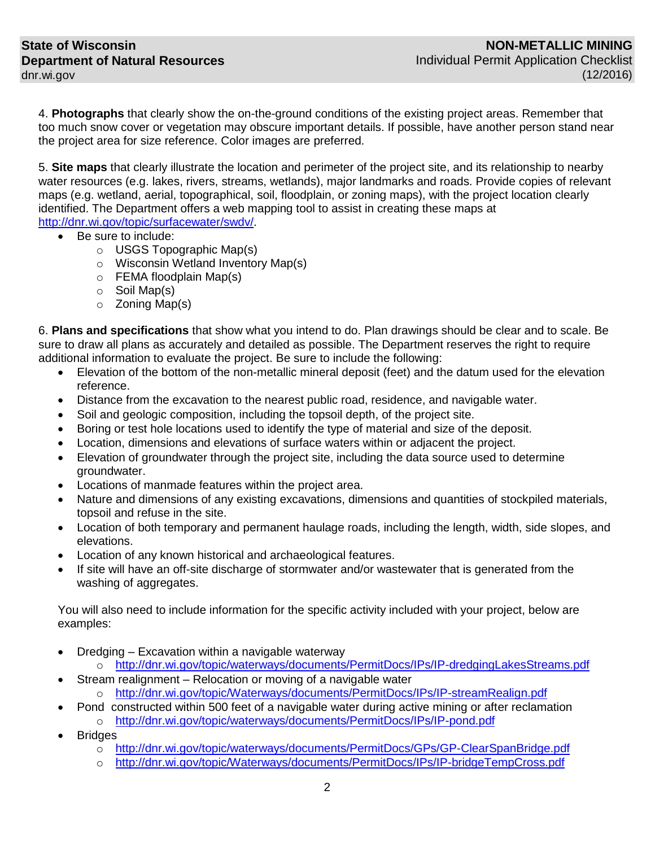4. **Photographs** that clearly show the on-the-ground conditions of the existing project areas. Remember that too much snow cover or vegetation may obscure important details. If possible, have another person stand near the project area for size reference. Color images are preferred.

5. **Site maps** that clearly illustrate the location and perimeter of the project site, and its relationship to nearby water resources (e.g. lakes, rivers, streams, wetlands), major landmarks and roads. Provide copies of relevant maps (e.g. wetland, aerial, topographical, soil, floodplain, or zoning maps), with the project location clearly identified. The Department offers a web mapping tool to assist in creating these maps at [http://dnr.wi.gov/topic/surfacewater/swdv/.](http://dnr.wi.gov/topic/surfacewater/swdv/)

- Be sure to include:
	- o USGS Topographic Map(s)
	- o Wisconsin Wetland Inventory Map(s)
	- o FEMA floodplain Map(s)
	- o Soil Map(s)
	- o Zoning Map(s)

6. **Plans and specifications** that show what you intend to do. Plan drawings should be clear and to scale. Be sure to draw all plans as accurately and detailed as possible. The Department reserves the right to require additional information to evaluate the project. Be sure to include the following:

- Elevation of the bottom of the non-metallic mineral deposit (feet) and the datum used for the elevation reference.
- Distance from the excavation to the nearest public road, residence, and navigable water.
- Soil and geologic composition, including the topsoil depth, of the project site.
- Boring or test hole locations used to identify the type of material and size of the deposit.
- Location, dimensions and elevations of surface waters within or adjacent the project.
- Elevation of groundwater through the project site, including the data source used to determine groundwater.
- Locations of manmade features within the project area.
- Nature and dimensions of any existing excavations, dimensions and quantities of stockpiled materials, topsoil and refuse in the site.
- Location of both temporary and permanent haulage roads, including the length, width, side slopes, and elevations.
- Location of any known historical and archaeological features.
- If site will have an off-site discharge of stormwater and/or wastewater that is generated from the washing of aggregates.

You will also need to include information for the specific activity included with your project, below are examples:

- Dredging Excavation within a navigable waterway
	- o <http://dnr.wi.gov/topic/waterways/documents/PermitDocs/IPs/IP-dredgingLakesStreams.pdf> Stream realignment – Relocation or moving of a navigable water
		- o <http://dnr.wi.gov/topic/Waterways/documents/PermitDocs/IPs/IP-streamRealign.pdf>
- Pond constructed within 500 feet of a navigable water during active mining or after reclamation o <http://dnr.wi.gov/topic/waterways/documents/PermitDocs/IPs/IP-pond.pdf>
- Bridges
	- o <http://dnr.wi.gov/topic/waterways/documents/PermitDocs/GPs/GP-ClearSpanBridge.pdf>
	- o <http://dnr.wi.gov/topic/Waterways/documents/PermitDocs/IPs/IP-bridgeTempCross.pdf>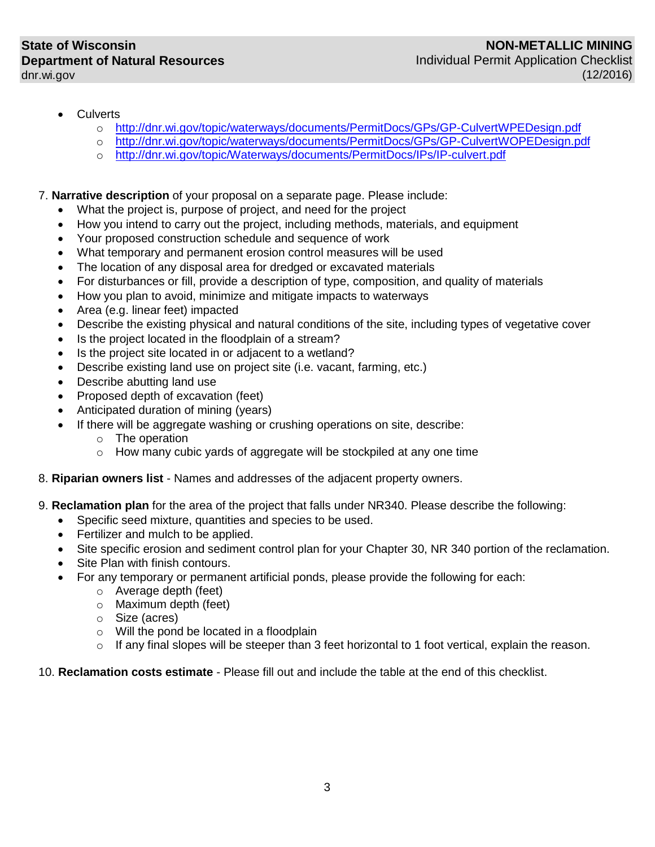- **Culverts** 
	- o <http://dnr.wi.gov/topic/waterways/documents/PermitDocs/GPs/GP-CulvertWPEDesign.pdf>
	- o <http://dnr.wi.gov/topic/waterways/documents/PermitDocs/GPs/GP-CulvertWOPEDesign.pdf>
	- o <http://dnr.wi.gov/topic/Waterways/documents/PermitDocs/IPs/IP-culvert.pdf>

## 7. **Narrative description** of your proposal on a separate page. Please include:

- What the project is, purpose of project, and need for the project
- How you intend to carry out the project, including methods, materials, and equipment
- Your proposed construction schedule and sequence of work
- What temporary and permanent erosion control measures will be used
- The location of any disposal area for dredged or excavated materials
- For disturbances or fill, provide a description of type, composition, and quality of materials
- How you plan to avoid, minimize and mitigate impacts to waterways
- Area (e.g. linear feet) impacted
- Describe the existing physical and natural conditions of the site, including types of vegetative cover
- Is the project located in the floodplain of a stream?
- Is the project site located in or adjacent to a wetland?
- Describe existing land use on project site (i.e. vacant, farming, etc.)
- Describe abutting land use
- Proposed depth of excavation (feet)
- Anticipated duration of mining (years)
- If there will be aggregate washing or crushing operations on site, describe:
	- o The operation
	- $\circ$  How many cubic vards of aggregate will be stockpiled at any one time
- 8. **Riparian owners list** Names and addresses of the adjacent property owners.
- 9. **Reclamation plan** for the area of the project that falls under NR340. Please describe the following:
	- Specific seed mixture, quantities and species to be used.
	- Fertilizer and mulch to be applied.
	- Site specific erosion and sediment control plan for your Chapter 30, NR 340 portion of the reclamation.
	- Site Plan with finish contours.
	- For any temporary or permanent artificial ponds, please provide the following for each:
		- o Average depth (feet)
		- o Maximum depth (feet)
		- o Size (acres)
		- o Will the pond be located in a floodplain
		- o If any final slopes will be steeper than 3 feet horizontal to 1 foot vertical, explain the reason.

## 10. **Reclamation costs estimate** - Please fill out and include the table at the end of this checklist.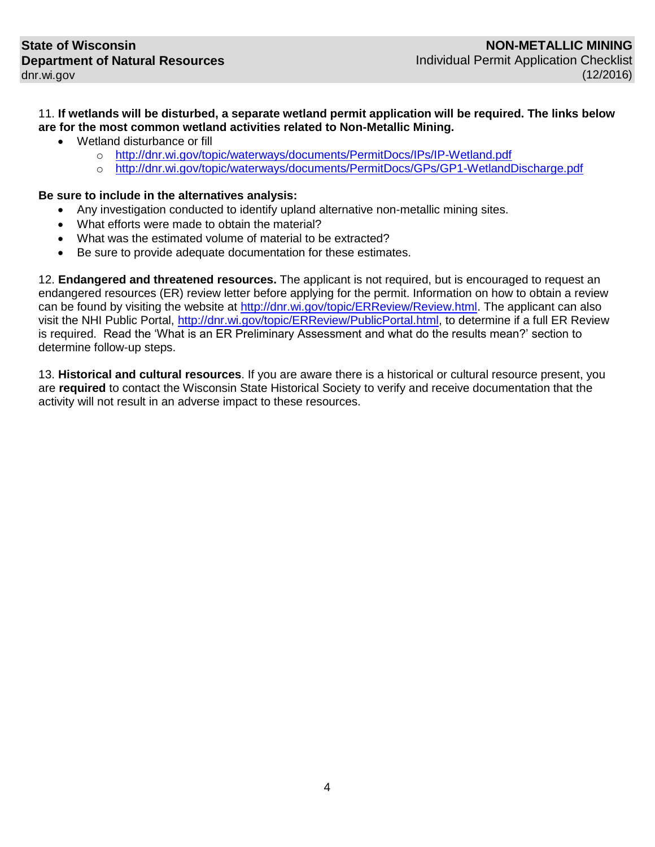11. **If wetlands will be disturbed, a separate wetland permit application will be required. The links below are for the most common wetland activities related to Non-Metallic Mining.** 

- Wetland disturbance or fill
	- o <http://dnr.wi.gov/topic/waterways/documents/PermitDocs/IPs/IP-Wetland.pdf>
	- o <http://dnr.wi.gov/topic/waterways/documents/PermitDocs/GPs/GP1-WetlandDischarge.pdf>

## **Be sure to include in the alternatives analysis:**

- Any investigation conducted to identify upland alternative non-metallic mining sites.
- What efforts were made to obtain the material?
- What was the estimated volume of material to be extracted?
- Be sure to provide adequate documentation for these estimates.

12. **Endangered and threatened resources.** The applicant is not required, but is encouraged to request an endangered resources (ER) review letter before applying for the permit. Information on how to obtain a review can be found by visiting the website at [http://dnr.wi.gov/topic/ERReview/Review.html.](http://dnr.wi.gov/topic/ERReview/Review.html) The applicant can also visit the NHI Public Portal, [http://dnr.wi.gov/topic/ERReview/PublicPortal.html,](http://dnr.wi.gov/topic/ERReview/PublicPortal.html) to determine if a full ER Review is required. Read the 'What is an ER Preliminary Assessment and what do the results mean?' section to determine follow-up steps.

13. **Historical and cultural resources**. If you are aware there is a historical or cultural resource present, you are **required** to contact the Wisconsin State Historical Society to verify and receive documentation that the activity will not result in an adverse impact to these resources.